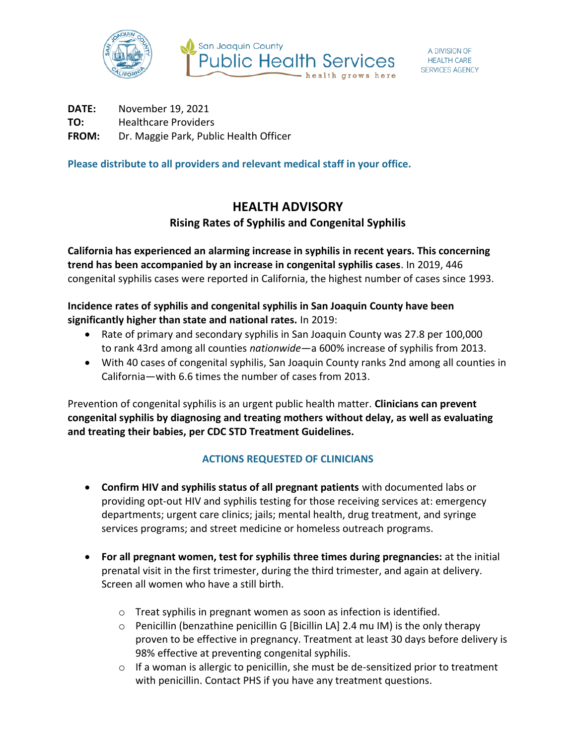

**DATE:** November 19, 2021 **TO:** Healthcare Providers **FROM:** Dr. Maggie Park, Public Health Officer

**Please distribute to all providers and relevant medical staff in your office.**

## **HEALTH ADVISORY Rising Rates of Syphilis and Congenital Syphilis**

**California has experienced an alarming increase in syphilis in recent years. This concerning trend has been accompanied by an increase in congenital syphilis cases**. In 2019, 446 congenital syphilis cases were reported in California, the highest number of cases since 1993.

## **Incidence rates of syphilis and congenital syphilis in San Joaquin County have been significantly higher than state and national rates.** In 2019:

- Rate of primary and secondary syphilis in San Joaquin County was 27.8 per 100,000 to rank 43rd among all counties *nationwide*—a 600% increase of syphilis from 2013.
- With 40 cases of congenital syphilis, San Joaquin County ranks 2nd among all counties in California—with 6.6 times the number of cases from 2013.

Prevention of congenital syphilis is an urgent public health matter. **Clinicians can prevent congenital syphilis by diagnosing and treating mothers without delay, as well as evaluating and treating their babies, per CDC STD Treatment Guidelines.** 

## **ACTIONS REQUESTED OF CLINICIANS**

- **Confirm HIV and syphilis status of all pregnant patients** with documented labs or providing opt-out HIV and syphilis testing for those receiving services at: emergency departments; urgent care clinics; jails; mental health, drug treatment, and syringe services programs; and street medicine or homeless outreach programs.
- **For all pregnant women, test for syphilis three times during pregnancies:** at the initial prenatal visit in the first trimester, during the third trimester, and again at delivery. Screen all women who have a still birth.
	- o Treat syphilis in pregnant women as soon as infection is identified.
	- o Penicillin (benzathine penicillin G [Bicillin LA] 2.4 mu IM) is the only therapy proven to be effective in pregnancy. Treatment at least 30 days before delivery is 98% effective at preventing congenital syphilis.
	- o If a woman is allergic to penicillin, she must be de-sensitized prior to treatment with penicillin. Contact PHS if you have any treatment questions.